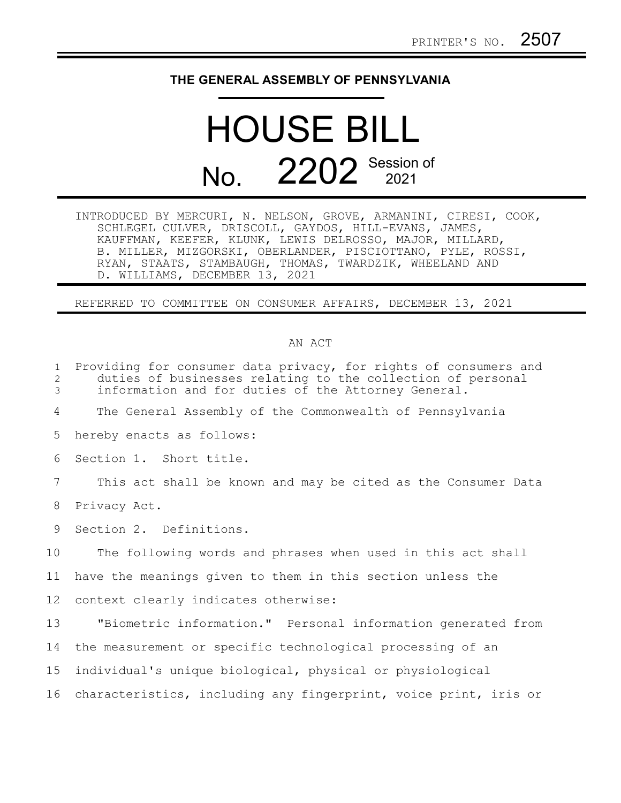## **THE GENERAL ASSEMBLY OF PENNSYLVANIA**

## HOUSE BILL No. 2202<sup>Session of</sup>

INTRODUCED BY MERCURI, N. NELSON, GROVE, ARMANINI, CIRESI, COOK, SCHLEGEL CULVER, DRISCOLL, GAYDOS, HILL-EVANS, JAMES, KAUFFMAN, KEEFER, KLUNK, LEWIS DELROSSO, MAJOR, MILLARD, B. MILLER, MIZGORSKI, OBERLANDER, PISCIOTTANO, PYLE, ROSSI, RYAN, STAATS, STAMBAUGH, THOMAS, TWARDZIK, WHEELAND AND D. WILLIAMS, DECEMBER 13, 2021

REFERRED TO COMMITTEE ON CONSUMER AFFAIRS, DECEMBER 13, 2021

## AN ACT

| 1<br>2<br>3     | Providing for consumer data privacy, for rights of consumers and<br>duties of businesses relating to the collection of personal<br>information and for duties of the Attorney General. |
|-----------------|----------------------------------------------------------------------------------------------------------------------------------------------------------------------------------------|
| 4               | The General Assembly of the Commonwealth of Pennsylvania                                                                                                                               |
| 5               | hereby enacts as follows:                                                                                                                                                              |
| 6               | Section 1. Short title.                                                                                                                                                                |
| 7               | This act shall be known and may be cited as the Consumer Data                                                                                                                          |
| 8               | Privacy Act.                                                                                                                                                                           |
| 9               | Section 2. Definitions.                                                                                                                                                                |
| 10              | The following words and phrases when used in this act shall                                                                                                                            |
| 11              | have the meanings given to them in this section unless the                                                                                                                             |
| 12              | context clearly indicates otherwise:                                                                                                                                                   |
| 13              | "Biometric information." Personal information generated from                                                                                                                           |
| 14              | the measurement or specific technological processing of an                                                                                                                             |
| 15 <sub>1</sub> | individual's unique biological, physical or physiological                                                                                                                              |
| 16              | characteristics, including any fingerprint, voice print, iris or                                                                                                                       |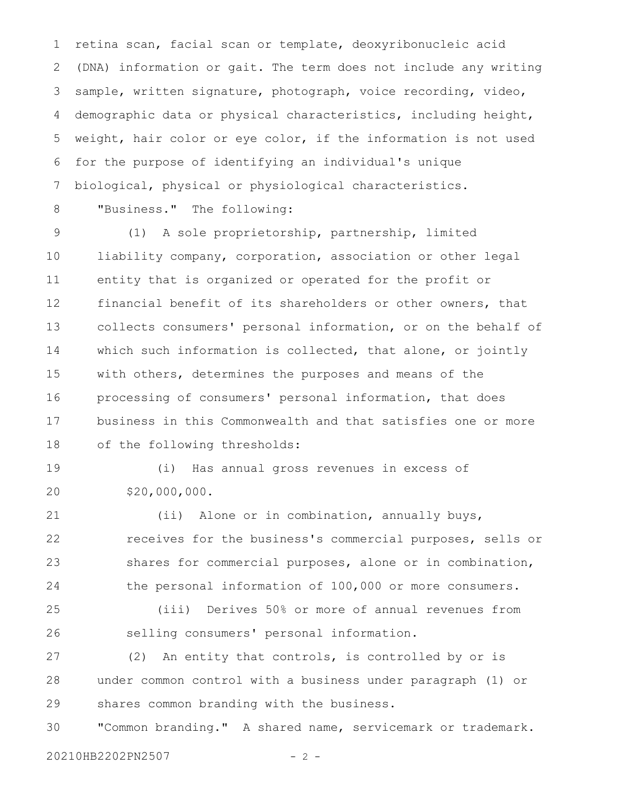retina scan, facial scan or template, deoxyribonucleic acid (DNA) information or gait. The term does not include any writing sample, written signature, photograph, voice recording, video, demographic data or physical characteristics, including height, weight, hair color or eye color, if the information is not used for the purpose of identifying an individual's unique biological, physical or physiological characteristics. 1 2 3 4 5 6 7

8

"Business." The following:

(1) A sole proprietorship, partnership, limited liability company, corporation, association or other legal entity that is organized or operated for the profit or financial benefit of its shareholders or other owners, that collects consumers' personal information, or on the behalf of which such information is collected, that alone, or jointly with others, determines the purposes and means of the processing of consumers' personal information, that does business in this Commonwealth and that satisfies one or more of the following thresholds: 9 10 11 12 13 14 15 16 17 18

(i) Has annual gross revenues in excess of \$20,000,000. 19 20

(ii) Alone or in combination, annually buys, receives for the business's commercial purposes, sells or shares for commercial purposes, alone or in combination, the personal information of 100,000 or more consumers. 21 22 23 24

(iii) Derives 50% or more of annual revenues from selling consumers' personal information. 25 26

(2) An entity that controls, is controlled by or is under common control with a business under paragraph (1) or shares common branding with the business. 27 28 29

"Common branding." A shared name, servicemark or trademark. 30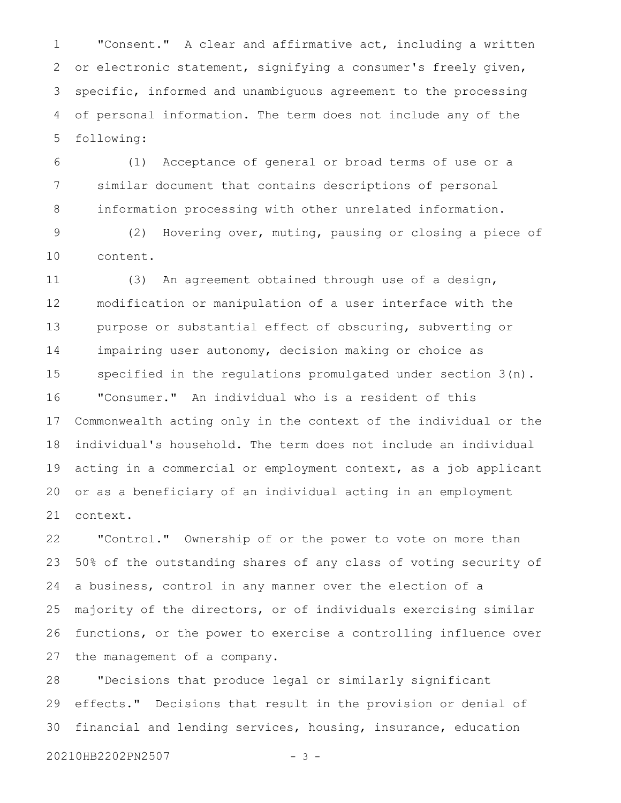"Consent." A clear and affirmative act, including a written or electronic statement, signifying a consumer's freely given, specific, informed and unambiguous agreement to the processing of personal information. The term does not include any of the following: 1 2 3 4 5

(1) Acceptance of general or broad terms of use or a similar document that contains descriptions of personal information processing with other unrelated information. 6 7 8

(2) Hovering over, muting, pausing or closing a piece of content. 9 10

(3) An agreement obtained through use of a design, modification or manipulation of a user interface with the purpose or substantial effect of obscuring, subverting or impairing user autonomy, decision making or choice as specified in the regulations promulgated under section 3(n). "Consumer." An individual who is a resident of this Commonwealth acting only in the context of the individual or the individual's household. The term does not include an individual acting in a commercial or employment context, as a job applicant or as a beneficiary of an individual acting in an employment context. 11 12 13 14 15 16 17 18 19 20 21

"Control." Ownership of or the power to vote on more than 50% of the outstanding shares of any class of voting security of a business, control in any manner over the election of a majority of the directors, or of individuals exercising similar functions, or the power to exercise a controlling influence over the management of a company. 22 23 24 25 26 27

"Decisions that produce legal or similarly significant effects." Decisions that result in the provision or denial of financial and lending services, housing, insurance, education 28 29 30

20210HB2202PN2507 - 3 -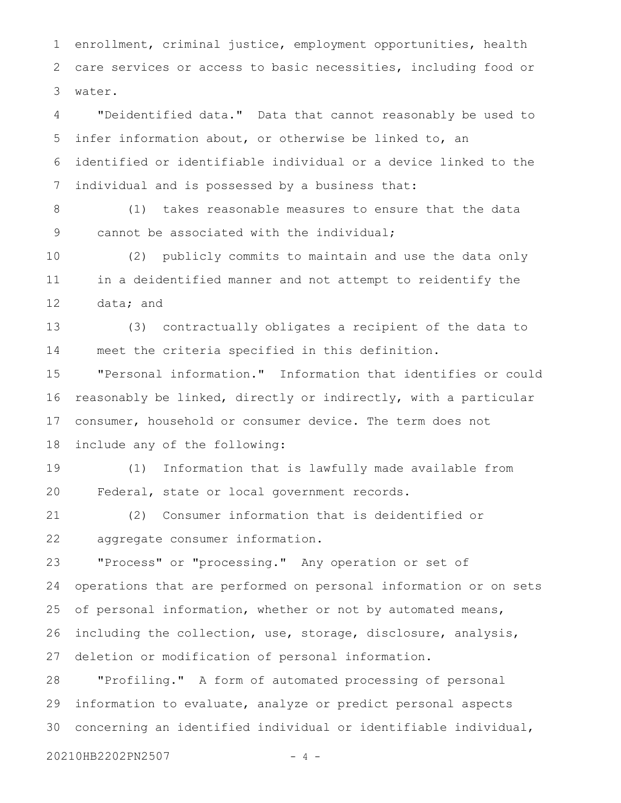enrollment, criminal justice, employment opportunities, health care services or access to basic necessities, including food or water. 1 2 3

"Deidentified data." Data that cannot reasonably be used to infer information about, or otherwise be linked to, an identified or identifiable individual or a device linked to the individual and is possessed by a business that: 4 5 6 7

(1) takes reasonable measures to ensure that the data cannot be associated with the individual; 8 9

(2) publicly commits to maintain and use the data only in a deidentified manner and not attempt to reidentify the data; and 10 11 12

(3) contractually obligates a recipient of the data to meet the criteria specified in this definition. 13 14

"Personal information." Information that identifies or could reasonably be linked, directly or indirectly, with a particular consumer, household or consumer device. The term does not include any of the following: 15 16 17 18

(1) Information that is lawfully made available from Federal, state or local government records. 19 20

(2) Consumer information that is deidentified or aggregate consumer information. 21 22

"Process" or "processing." Any operation or set of operations that are performed on personal information or on sets of personal information, whether or not by automated means, including the collection, use, storage, disclosure, analysis, deletion or modification of personal information. 23 24 25 26 27

"Profiling." A form of automated processing of personal information to evaluate, analyze or predict personal aspects concerning an identified individual or identifiable individual, 28 29 30

20210HB2202PN2507 - 4 -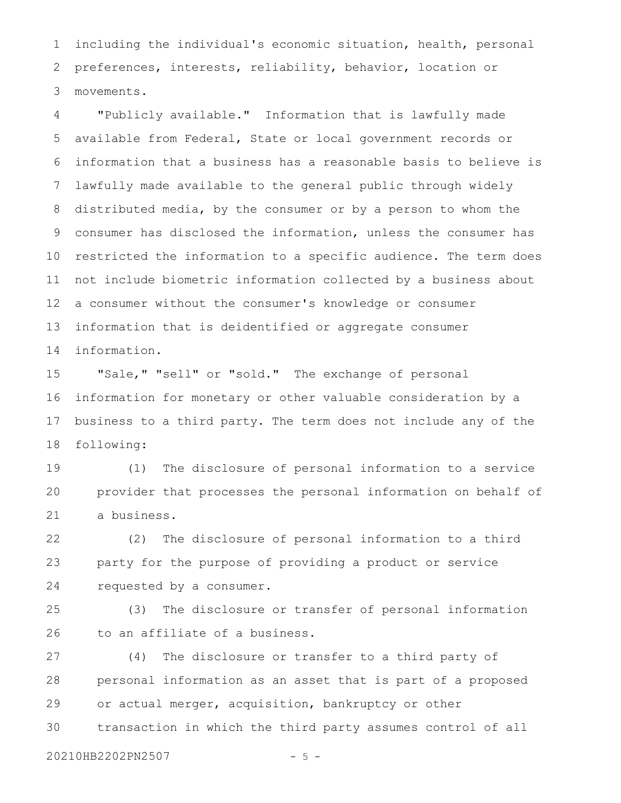including the individual's economic situation, health, personal preferences, interests, reliability, behavior, location or movements. 1 2 3

"Publicly available." Information that is lawfully made available from Federal, State or local government records or information that a business has a reasonable basis to believe is lawfully made available to the general public through widely distributed media, by the consumer or by a person to whom the consumer has disclosed the information, unless the consumer has restricted the information to a specific audience. The term does not include biometric information collected by a business about a consumer without the consumer's knowledge or consumer information that is deidentified or aggregate consumer information. 4 5 6 7 8 9 10 11 12 13 14

"Sale," "sell" or "sold." The exchange of personal information for monetary or other valuable consideration by a business to a third party. The term does not include any of the following: 15 16 17 18

(1) The disclosure of personal information to a service provider that processes the personal information on behalf of a business. 19 20 21

(2) The disclosure of personal information to a third party for the purpose of providing a product or service requested by a consumer. 22 23 24

(3) The disclosure or transfer of personal information to an affiliate of a business. 25 26

(4) The disclosure or transfer to a third party of personal information as an asset that is part of a proposed or actual merger, acquisition, bankruptcy or other transaction in which the third party assumes control of all 27 28 29 30

20210HB2202PN2507 - 5 -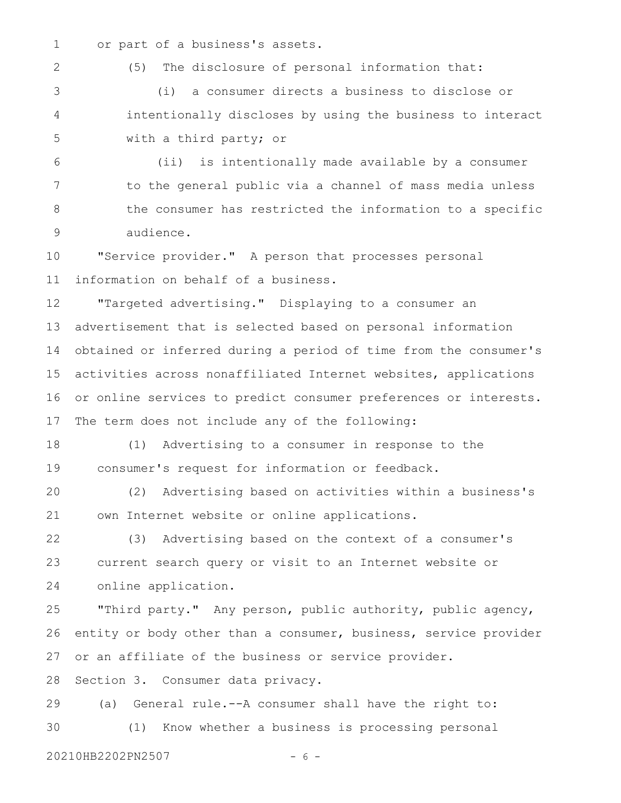or part of a business's assets. 1

2

(5) The disclosure of personal information that:

(i) a consumer directs a business to disclose or intentionally discloses by using the business to interact with a third party; or 3 4 5

(ii) is intentionally made available by a consumer to the general public via a channel of mass media unless the consumer has restricted the information to a specific audience. 6 7 8 9

"Service provider." A person that processes personal information on behalf of a business. 10 11

"Targeted advertising." Displaying to a consumer an advertisement that is selected based on personal information obtained or inferred during a period of time from the consumer's activities across nonaffiliated Internet websites, applications or online services to predict consumer preferences or interests. The term does not include any of the following: 12 13 14 15 16 17

(1) Advertising to a consumer in response to the consumer's request for information or feedback. 18 19

(2) Advertising based on activities within a business's own Internet website or online applications. 20 21

(3) Advertising based on the context of a consumer's current search query or visit to an Internet website or online application. 22 23 24

"Third party." Any person, public authority, public agency, entity or body other than a consumer, business, service provider or an affiliate of the business or service provider. 25 26 27

Section 3. Consumer data privacy. 28

(a) General rule.--A consumer shall have the right to: (1) Know whether a business is processing personal 29 30

20210HB2202PN2507 - 6 -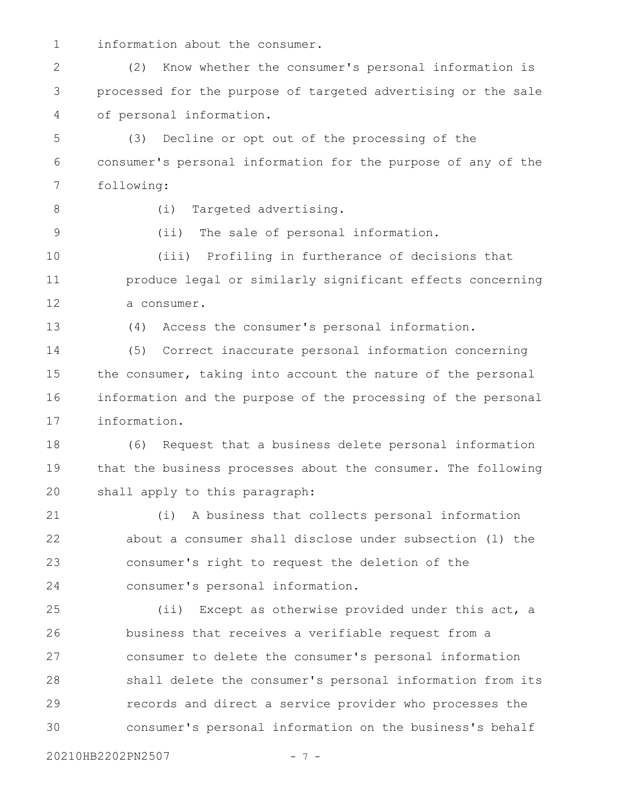information about the consumer. 1

(2) Know whether the consumer's personal information is processed for the purpose of targeted advertising or the sale of personal information. 2 3 4

(3) Decline or opt out of the processing of the consumer's personal information for the purpose of any of the following: 5 6 7

8

9

(i) Targeted advertising.

(ii) The sale of personal information.

(iii) Profiling in furtherance of decisions that produce legal or similarly significant effects concerning a consumer. 10 11 12

13

(4) Access the consumer's personal information.

(5) Correct inaccurate personal information concerning the consumer, taking into account the nature of the personal information and the purpose of the processing of the personal information. 14 15 16 17

(6) Request that a business delete personal information that the business processes about the consumer. The following shall apply to this paragraph: 18 19 20

(i) A business that collects personal information about a consumer shall disclose under subsection (l) the consumer's right to request the deletion of the consumer's personal information. 21 22 23 24

(ii) Except as otherwise provided under this act, a business that receives a verifiable request from a consumer to delete the consumer's personal information shall delete the consumer's personal information from its records and direct a service provider who processes the consumer's personal information on the business's behalf 25 26 27 28 29 30

20210HB2202PN2507 - 7 -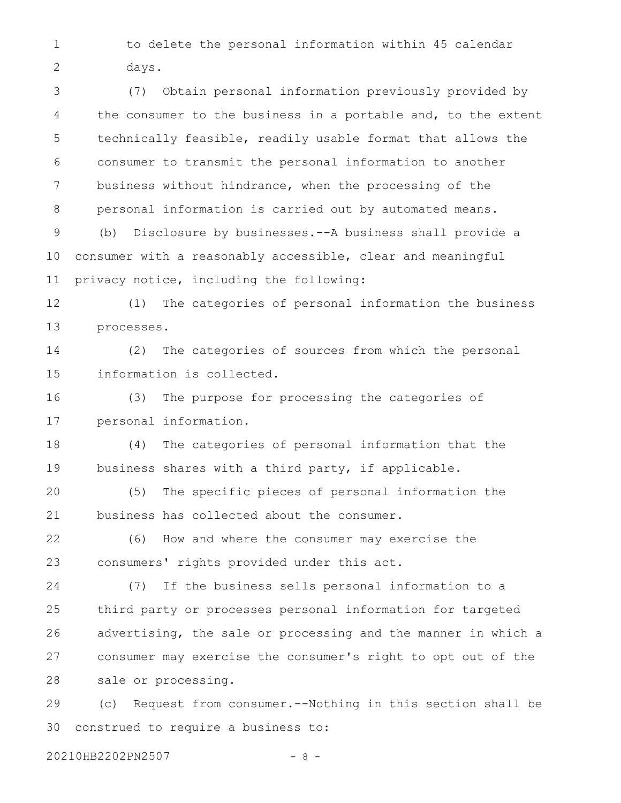to delete the personal information within 45 calendar days. 1 2

(7) Obtain personal information previously provided by the consumer to the business in a portable and, to the extent technically feasible, readily usable format that allows the consumer to transmit the personal information to another business without hindrance, when the processing of the personal information is carried out by automated means. (b) Disclosure by businesses.--A business shall provide a consumer with a reasonably accessible, clear and meaningful privacy notice, including the following: (1) The categories of personal information the business processes. (2) The categories of sources from which the personal information is collected. (3) The purpose for processing the categories of personal information. (4) The categories of personal information that the business shares with a third party, if applicable. (5) The specific pieces of personal information the business has collected about the consumer. (6) How and where the consumer may exercise the consumers' rights provided under this act. (7) If the business sells personal information to a third party or processes personal information for targeted advertising, the sale or processing and the manner in which a consumer may exercise the consumer's right to opt out of the sale or processing. (c) Request from consumer.--Nothing in this section shall be construed to require a business to: 3 4 5 6 7 8 9 10 11 12 13 14 15 16 17 18 19 20 21 22 23 24 25 26 27 28 29 30

20210HB2202PN2507 - 8 -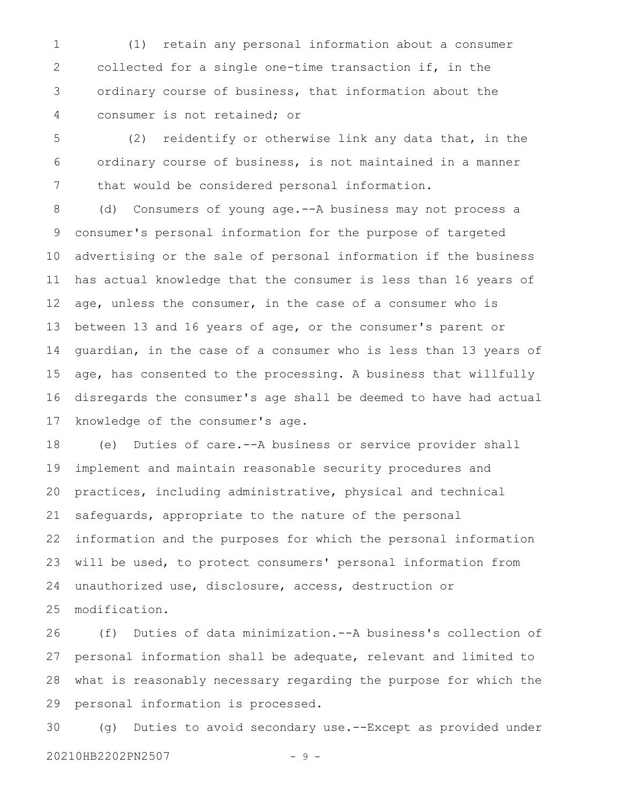(1) retain any personal information about a consumer collected for a single one-time transaction if, in the ordinary course of business, that information about the consumer is not retained; or 1 2 3 4

(2) reidentify or otherwise link any data that, in the ordinary course of business, is not maintained in a manner that would be considered personal information. 5 6 7

(d) Consumers of young age.--A business may not process a consumer's personal information for the purpose of targeted advertising or the sale of personal information if the business has actual knowledge that the consumer is less than 16 years of age, unless the consumer, in the case of a consumer who is between 13 and 16 years of age, or the consumer's parent or guardian, in the case of a consumer who is less than 13 years of age, has consented to the processing. A business that willfully disregards the consumer's age shall be deemed to have had actual knowledge of the consumer's age. 8 9 10 11 12 13 14 15 16 17

(e) Duties of care.--A business or service provider shall implement and maintain reasonable security procedures and practices, including administrative, physical and technical safeguards, appropriate to the nature of the personal information and the purposes for which the personal information will be used, to protect consumers' personal information from unauthorized use, disclosure, access, destruction or modification. 18 19 20 21 22 23 24 25

(f) Duties of data minimization.--A business's collection of personal information shall be adequate, relevant and limited to what is reasonably necessary regarding the purpose for which the personal information is processed. 26 27 28 29

(g) Duties to avoid secondary use.--Except as provided under 20210HB2202PN2507 - 9 -30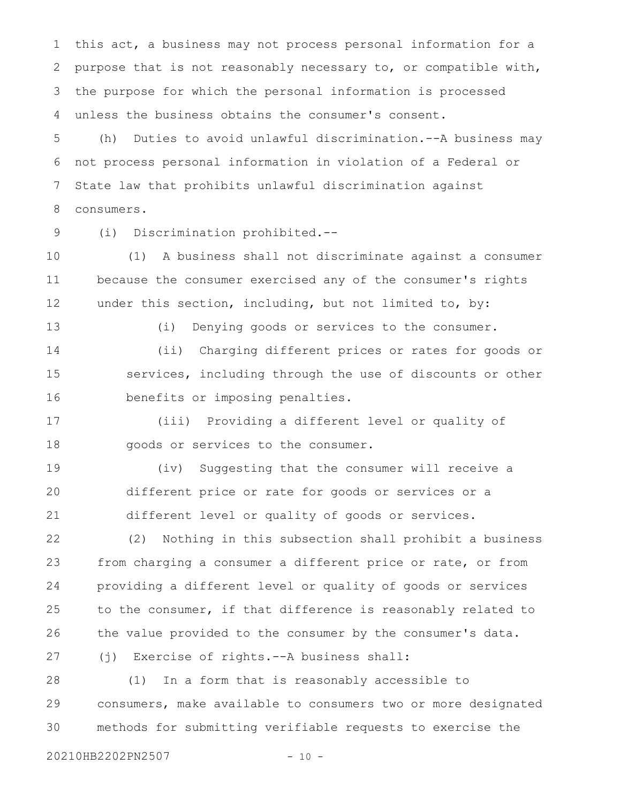this act, a business may not process personal information for a purpose that is not reasonably necessary to, or compatible with, the purpose for which the personal information is processed unless the business obtains the consumer's consent. 1 2 3 4

(h) Duties to avoid unlawful discrimination.--A business may not process personal information in violation of a Federal or State law that prohibits unlawful discrimination against consumers. 5 6 7 8

9

(i) Discrimination prohibited.--

(1) A business shall not discriminate against a consumer because the consumer exercised any of the consumer's rights under this section, including, but not limited to, by: 10 11 12

13

(i) Denying goods or services to the consumer.

(ii) Charging different prices or rates for goods or services, including through the use of discounts or other benefits or imposing penalties. 14 15 16

(iii) Providing a different level or quality of goods or services to the consumer. 17 18

(iv) Suggesting that the consumer will receive a different price or rate for goods or services or a different level or quality of goods or services. 19 20 21

(2) Nothing in this subsection shall prohibit a business from charging a consumer a different price or rate, or from providing a different level or quality of goods or services to the consumer, if that difference is reasonably related to the value provided to the consumer by the consumer's data. (j) Exercise of rights.--A business shall: 22 23 24 25 26 27

(1) In a form that is reasonably accessible to consumers, make available to consumers two or more designated methods for submitting verifiable requests to exercise the 28 29 30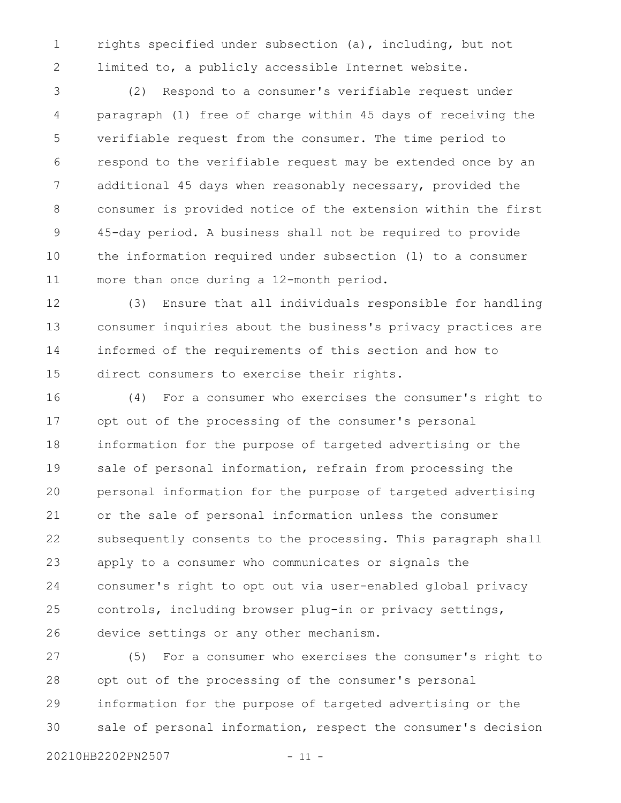rights specified under subsection (a), including, but not limited to, a publicly accessible Internet website. 1 2

(2) Respond to a consumer's verifiable request under paragraph (1) free of charge within 45 days of receiving the verifiable request from the consumer. The time period to respond to the verifiable request may be extended once by an additional 45 days when reasonably necessary, provided the consumer is provided notice of the extension within the first 45-day period. A business shall not be required to provide the information required under subsection (l) to a consumer more than once during a 12-month period. 3 4 5 6 7 8 9 10 11

(3) Ensure that all individuals responsible for handling consumer inquiries about the business's privacy practices are informed of the requirements of this section and how to direct consumers to exercise their rights. 12 13 14 15

(4) For a consumer who exercises the consumer's right to opt out of the processing of the consumer's personal information for the purpose of targeted advertising or the sale of personal information, refrain from processing the personal information for the purpose of targeted advertising or the sale of personal information unless the consumer subsequently consents to the processing. This paragraph shall apply to a consumer who communicates or signals the consumer's right to opt out via user-enabled global privacy controls, including browser plug-in or privacy settings, device settings or any other mechanism. 16 17 18 19 20 21 22 23 24 25 26

(5) For a consumer who exercises the consumer's right to opt out of the processing of the consumer's personal information for the purpose of targeted advertising or the sale of personal information, respect the consumer's decision 27 28 29 30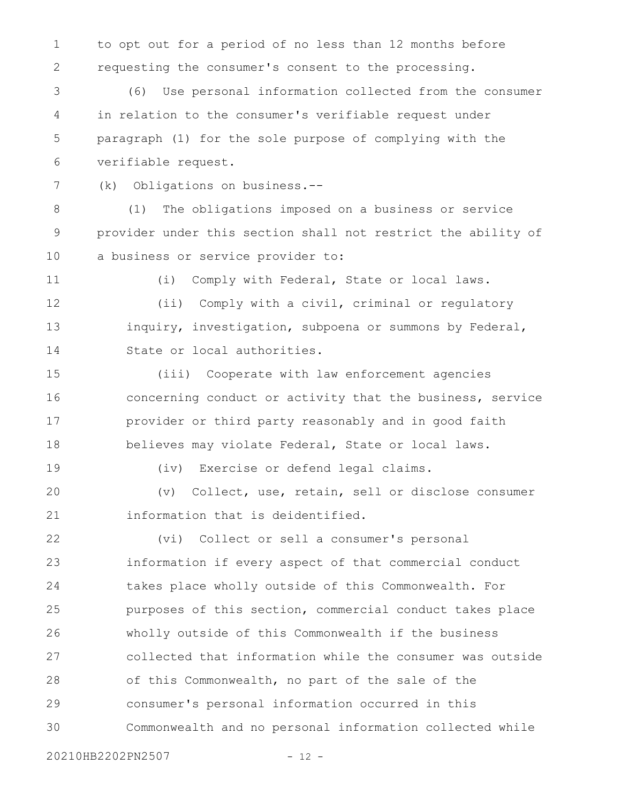to opt out for a period of no less than 12 months before requesting the consumer's consent to the processing. 1 2

(6) Use personal information collected from the consumer in relation to the consumer's verifiable request under paragraph (1) for the sole purpose of complying with the verifiable request. 3 4 5 6

(k) Obligations on business.-- 7

(1) The obligations imposed on a business or service provider under this section shall not restrict the ability of a business or service provider to: 8 9 10

11

(i) Comply with Federal, State or local laws.

(ii) Comply with a civil, criminal or regulatory inquiry, investigation, subpoena or summons by Federal, State or local authorities. 12 13 14

(iii) Cooperate with law enforcement agencies concerning conduct or activity that the business, service provider or third party reasonably and in good faith believes may violate Federal, State or local laws. 15 16 17 18

19

(iv) Exercise or defend legal claims.

(v) Collect, use, retain, sell or disclose consumer information that is deidentified. 20 21

(vi) Collect or sell a consumer's personal information if every aspect of that commercial conduct takes place wholly outside of this Commonwealth. For purposes of this section, commercial conduct takes place wholly outside of this Commonwealth if the business collected that information while the consumer was outside of this Commonwealth, no part of the sale of the consumer's personal information occurred in this Commonwealth and no personal information collected while 22 23 24 25 26 27 28 29 30

20210HB2202PN2507 - 12 -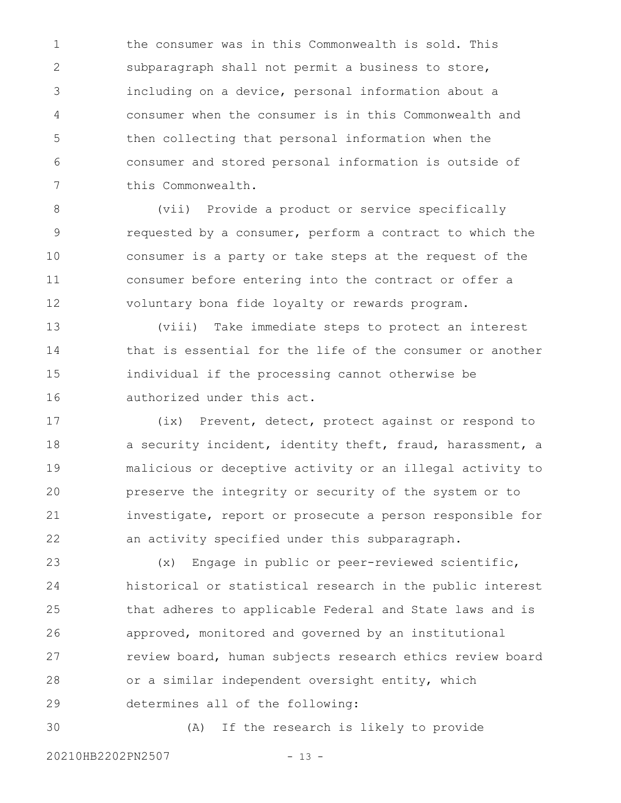the consumer was in this Commonwealth is sold. This subparagraph shall not permit a business to store, including on a device, personal information about a consumer when the consumer is in this Commonwealth and then collecting that personal information when the consumer and stored personal information is outside of this Commonwealth. 1 2 3 4 5 6 7

(vii) Provide a product or service specifically requested by a consumer, perform a contract to which the consumer is a party or take steps at the request of the consumer before entering into the contract or offer a voluntary bona fide loyalty or rewards program. 8 9 10 11 12

(viii) Take immediate steps to protect an interest that is essential for the life of the consumer or another individual if the processing cannot otherwise be authorized under this act. 13 14 15 16

(ix) Prevent, detect, protect against or respond to a security incident, identity theft, fraud, harassment, a malicious or deceptive activity or an illegal activity to preserve the integrity or security of the system or to investigate, report or prosecute a person responsible for an activity specified under this subparagraph. 17 18 19 20 21 22

(x) Engage in public or peer-reviewed scientific, historical or statistical research in the public interest that adheres to applicable Federal and State laws and is approved, monitored and governed by an institutional review board, human subjects research ethics review board or a similar independent oversight entity, which determines all of the following: 23 24 25 26 27 28 29

30

(A) If the research is likely to provide

20210HB2202PN2507 - 13 -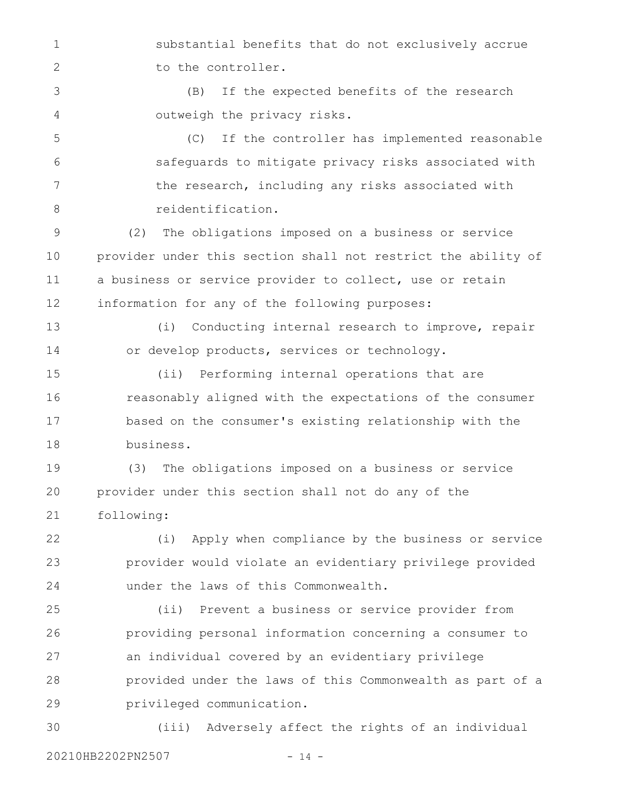substantial benefits that do not exclusively accrue to the controller. 1 2

(B) If the expected benefits of the research outweigh the privacy risks. 3 4

(C) If the controller has implemented reasonable safeguards to mitigate privacy risks associated with the research, including any risks associated with reidentification. 5 6 7 8

(2) The obligations imposed on a business or service provider under this section shall not restrict the ability of a business or service provider to collect, use or retain information for any of the following purposes: 9 10 11 12

(i) Conducting internal research to improve, repair or develop products, services or technology. 13 14

(ii) Performing internal operations that are reasonably aligned with the expectations of the consumer based on the consumer's existing relationship with the business. 15 16 17 18

(3) The obligations imposed on a business or service provider under this section shall not do any of the following: 19 20 21

(i) Apply when compliance by the business or service provider would violate an evidentiary privilege provided under the laws of this Commonwealth. 22 23 24

(ii) Prevent a business or service provider from providing personal information concerning a consumer to an individual covered by an evidentiary privilege provided under the laws of this Commonwealth as part of a privileged communication. 25 26 27 28 29

(iii) Adversely affect the rights of an individual 20210HB2202PN2507 - 14 -30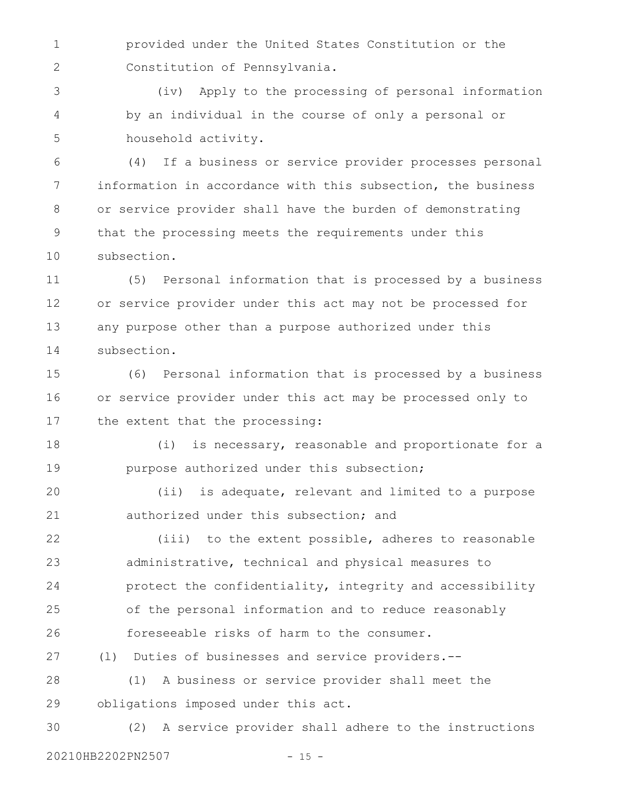provided under the United States Constitution or the Constitution of Pennsylvania. 1 2

(iv) Apply to the processing of personal information by an individual in the course of only a personal or household activity. 3 4 5

(4) If a business or service provider processes personal information in accordance with this subsection, the business or service provider shall have the burden of demonstrating that the processing meets the requirements under this subsection. 6 7 8 9 10

(5) Personal information that is processed by a business or service provider under this act may not be processed for any purpose other than a purpose authorized under this subsection. 11 12 13 14

(6) Personal information that is processed by a business or service provider under this act may be processed only to the extent that the processing: 15 16 17

(i) is necessary, reasonable and proportionate for a purpose authorized under this subsection; 18 19

(ii) is adequate, relevant and limited to a purpose authorized under this subsection; and 20 21

(iii) to the extent possible, adheres to reasonable administrative, technical and physical measures to protect the confidentiality, integrity and accessibility of the personal information and to reduce reasonably foreseeable risks of harm to the consumer. 22 23 24 25 26

(l) Duties of businesses and service providers.-- 27

(1) A business or service provider shall meet the obligations imposed under this act. 28 29

(2) A service provider shall adhere to the instructions 20210HB2202PN2507 - 15 -30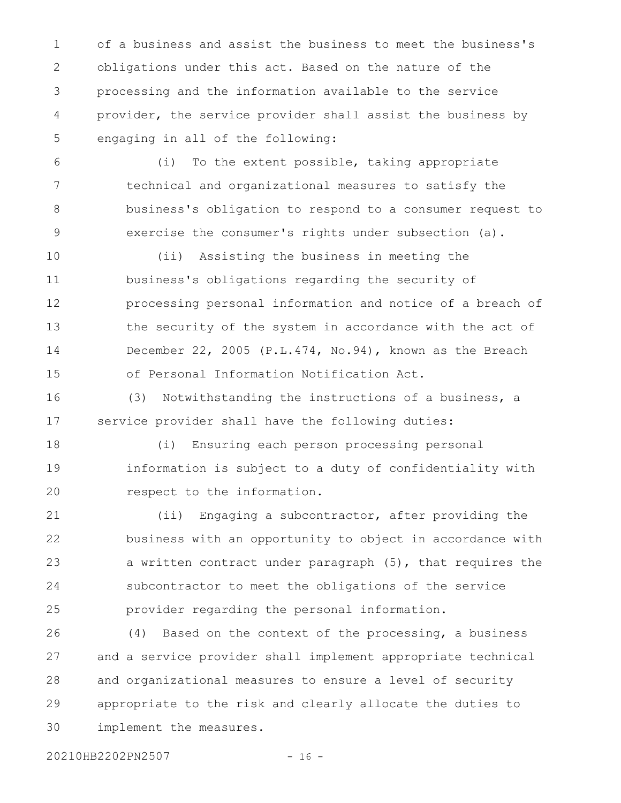of a business and assist the business to meet the business's obligations under this act. Based on the nature of the processing and the information available to the service provider, the service provider shall assist the business by engaging in all of the following: 1 2 3 4 5

(i) To the extent possible, taking appropriate technical and organizational measures to satisfy the business's obligation to respond to a consumer request to exercise the consumer's rights under subsection (a). 6 7 8 9

(ii) Assisting the business in meeting the business's obligations regarding the security of processing personal information and notice of a breach of the security of the system in accordance with the act of December 22, 2005 (P.L.474, No.94), known as the Breach of Personal Information Notification Act. 10 11 12 13 14 15

(3) Notwithstanding the instructions of a business, a service provider shall have the following duties: 16 17

(i) Ensuring each person processing personal information is subject to a duty of confidentiality with respect to the information. 18 19 20

(ii) Engaging a subcontractor, after providing the business with an opportunity to object in accordance with a written contract under paragraph (5), that requires the subcontractor to meet the obligations of the service provider regarding the personal information. 21 22 23 24 25

(4) Based on the context of the processing, a business and a service provider shall implement appropriate technical and organizational measures to ensure a level of security appropriate to the risk and clearly allocate the duties to implement the measures. 26 27 28 29 30

20210HB2202PN2507 - 16 -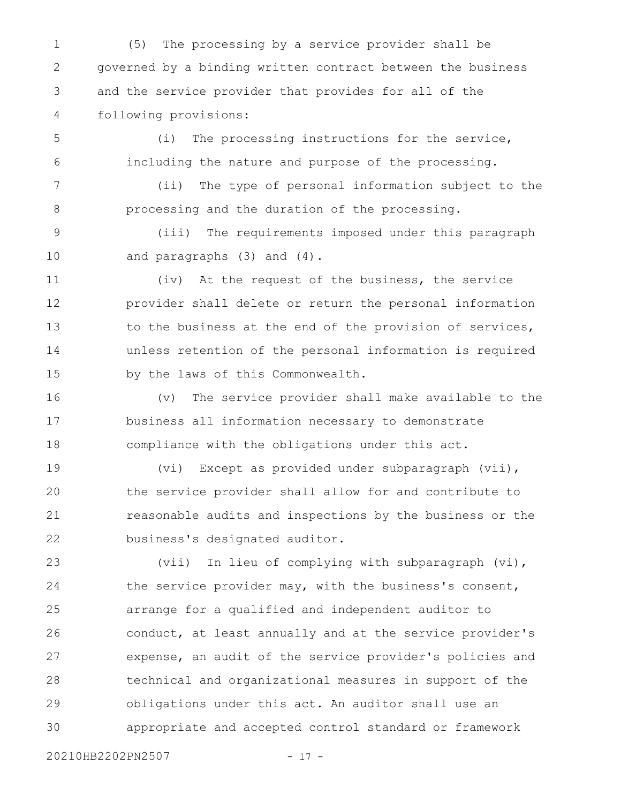(5) The processing by a service provider shall be governed by a binding written contract between the business and the service provider that provides for all of the following provisions: 1 2 3 4

(i) The processing instructions for the service, including the nature and purpose of the processing. 5 6

(ii) The type of personal information subject to the processing and the duration of the processing. 7 8

(iii) The requirements imposed under this paragraph and paragraphs (3) and (4). 9 10

(iv) At the request of the business, the service provider shall delete or return the personal information to the business at the end of the provision of services, unless retention of the personal information is required by the laws of this Commonwealth. 11 12 13 14 15

(v) The service provider shall make available to the business all information necessary to demonstrate compliance with the obligations under this act. 16 17 18

(vi) Except as provided under subparagraph (vii), the service provider shall allow for and contribute to reasonable audits and inspections by the business or the business's designated auditor. 19 20 21 22

(vii) In lieu of complying with subparagraph (vi), the service provider may, with the business's consent, arrange for a qualified and independent auditor to conduct, at least annually and at the service provider's expense, an audit of the service provider's policies and technical and organizational measures in support of the obligations under this act. An auditor shall use an appropriate and accepted control standard or framework 23 24 25 26 27 28 29 30

20210HB2202PN2507 - 17 -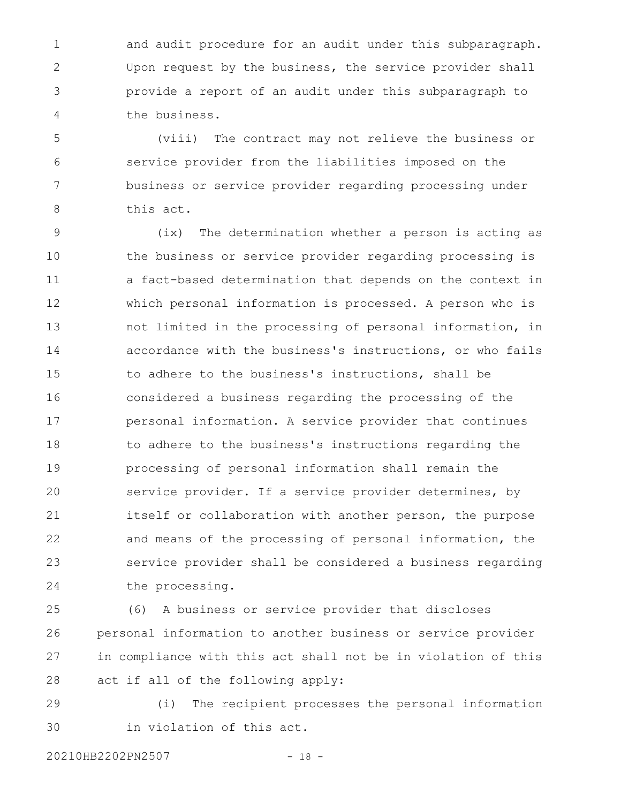and audit procedure for an audit under this subparagraph. Upon request by the business, the service provider shall provide a report of an audit under this subparagraph to the business. 1 2 3 4

(viii) The contract may not relieve the business or service provider from the liabilities imposed on the business or service provider regarding processing under this act. 5 6 7 8

(ix) The determination whether a person is acting as the business or service provider regarding processing is a fact-based determination that depends on the context in which personal information is processed. A person who is not limited in the processing of personal information, in accordance with the business's instructions, or who fails to adhere to the business's instructions, shall be considered a business regarding the processing of the personal information. A service provider that continues to adhere to the business's instructions regarding the processing of personal information shall remain the service provider. If a service provider determines, by itself or collaboration with another person, the purpose and means of the processing of personal information, the service provider shall be considered a business regarding the processing. 9 10 11 12 13 14 15 16 17 18 19 20 21 22 23 24

(6) A business or service provider that discloses personal information to another business or service provider in compliance with this act shall not be in violation of this act if all of the following apply: 25 26 27 28

(i) The recipient processes the personal information in violation of this act. 29 30

20210HB2202PN2507 - 18 -